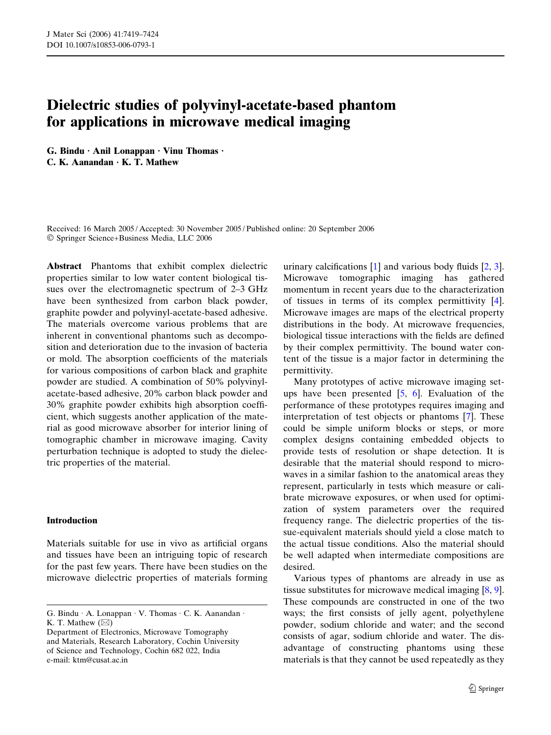# Dielectric studies of polyvinyl-acetate-based phantom for applications in microwave medical imaging

G. Bindu  $\cdot$  Anil Lonappan  $\cdot$  Vinu Thomas  $\cdot$  $C. K. Aanandan · K. T. Mathew$ 

Received: 16 March 2005 / Accepted: 30 November 2005 / Published online: 20 September 2006 Springer Science+Business Media, LLC 2006

Abstract Phantoms that exhibit complex dielectric properties similar to low water content biological tissues over the electromagnetic spectrum of 2–3 GHz have been synthesized from carbon black powder, graphite powder and polyvinyl-acetate-based adhesive. The materials overcome various problems that are inherent in conventional phantoms such as decomposition and deterioration due to the invasion of bacteria or mold. The absorption coefficients of the materials for various compositions of carbon black and graphite powder are studied. A combination of 50% polyvinylacetate-based adhesive, 20% carbon black powder and 30% graphite powder exhibits high absorption coefficient, which suggests another application of the material as good microwave absorber for interior lining of tomographic chamber in microwave imaging. Cavity perturbation technique is adopted to study the dielectric properties of the material.

# Introduction

Materials suitable for use in vivo as artificial organs and tissues have been an intriguing topic of research for the past few years. There have been studies on the microwave dielectric properties of materials forming

urinary calcifications [\[1](#page-5-0)] and various body fluids [\[2](#page-5-0), [3\]](#page-5-0). Microwave tomographic imaging has gathered momentum in recent years due to the characterization of tissues in terms of its complex permittivity [[4\]](#page-5-0). Microwave images are maps of the electrical property distributions in the body. At microwave frequencies, biological tissue interactions with the fields are defined by their complex permittivity. The bound water content of the tissue is a major factor in determining the permittivity.

Many prototypes of active microwave imaging setups have been presented  $[5, 6]$  $[5, 6]$  $[5, 6]$ . Evaluation of the performance of these prototypes requires imaging and interpretation of test objects or phantoms [\[7](#page-5-0)]. These could be simple uniform blocks or steps, or more complex designs containing embedded objects to provide tests of resolution or shape detection. It is desirable that the material should respond to microwaves in a similar fashion to the anatomical areas they represent, particularly in tests which measure or calibrate microwave exposures, or when used for optimization of system parameters over the required frequency range. The dielectric properties of the tissue-equivalent materials should yield a close match to the actual tissue conditions. Also the material should be well adapted when intermediate compositions are desired.

Various types of phantoms are already in use as tissue substitutes for microwave medical imaging [[8,](#page-5-0) [9\]](#page-5-0). These compounds are constructed in one of the two ways; the first consists of jelly agent, polyethylene powder, sodium chloride and water; and the second consists of agar, sodium chloride and water. The disadvantage of constructing phantoms using these materials is that they cannot be used repeatedly as they

G. Bindu  $\cdot$  A. Lonappan  $\cdot$  V. Thomas  $\cdot$  C. K. Aanandan  $\cdot$ K. T. Mathew  $(\boxtimes)$ 

Department of Electronics, Microwave Tomography and Materials, Research Laboratory, Cochin University of Science and Technology, Cochin 682 022, India e-mail: ktm@cusat.ac.in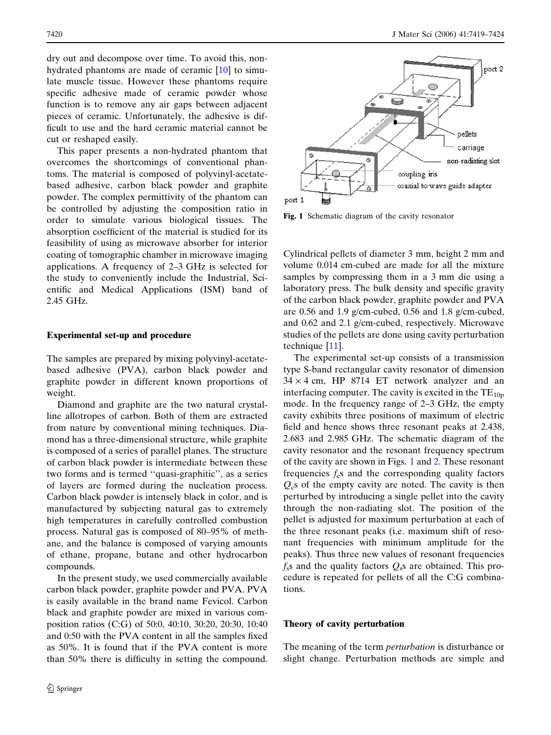<span id="page-1-0"></span>dry out and decompose over time. To avoid this, nonhydrated phantoms are made of ceramic [[10\]](#page-5-0) to simulate muscle tissue. However these phantoms require specific adhesive made of ceramic powder whose function is to remove any air gaps between adjacent pieces of ceramic. Unfortunately, the adhesive is difficult to use and the hard ceramic material cannot be cut or reshaped easily.

This paper presents a non-hydrated phantom that overcomes the shortcomings of conventional phantoms. The material is composed of polyvinyl-acetatebased adhesive, carbon black powder and graphite powder. The complex permittivity of the phantom can be controlled by adjusting the composition ratio in order to simulate various biological tissues. The absorption coefficient of the material is studied for its feasibility of using as microwave absorber for interior coating of tomographic chamber in microwave imaging applications. A frequency of 2–3 GHz is selected for the study to conveniently include the Industrial, Scientific and Medical Applications (ISM) band of 2.45 GHz.

## Experimental set-up and procedure

The samples are prepared by mixing polyvinyl-acetatebased adhesive (PVA), carbon black powder and graphite powder in different known proportions of weight.

Diamond and graphite are the two natural crystalline allotropes of carbon. Both of them are extracted from nature by conventional mining techniques. Diamond has a three-dimensional structure, while graphite is composed of a series of parallel planes. The structure of carbon black powder is intermediate between these two forms and is termed ''quasi-graphitic'', as a series of layers are formed during the nucleation process. Carbon black powder is intensely black in color, and is manufactured by subjecting natural gas to extremely high temperatures in carefully controlled combustion process. Natural gas is composed of 80–95% of methane, and the balance is composed of varying amounts of ethane, propane, butane and other hydrocarbon compounds.

In the present study, we used commercially available carbon black powder, graphite powder and PVA. PVA is easily available in the brand name Fevicol. Carbon black and graphite powder are mixed in various composition ratios (C:G) of 50:0, 40:10, 30:20, 20:30, 10:40 and 0:50 with the PVA content in all the samples fixed as 50%. It is found that if the PVA content is more than 50% there is difficulty in setting the compound.



Fig. 1 Schematic diagram of the cavity resonator

Cylindrical pellets of diameter 3 mm, height 2 mm and volume 0.014 cm-cubed are made for all the mixture samples by compressing them in a 3 mm die using a laboratory press. The bulk density and specific gravity of the carbon black powder, graphite powder and PVA are 0.56 and 1.9 g/cm-cubed, 0.56 and 1.8 g/cm-cubed, and 0.62 and 2.1 g/cm-cubed, respectively. Microwave studies of the pellets are done using cavity perturbation technique [[11\]](#page-5-0).

The experimental set-up consists of a transmission type S-band rectangular cavity resonator of dimension  $34 \times 4$  cm, HP 8714 ET network analyzer and an interfacing computer. The cavity is excited in the  $TE_{10p}$ mode. In the frequency range of 2–3 GHz, the empty cavity exhibits three positions of maximum of electric field and hence shows three resonant peaks at 2.438, 2.683 and 2.985 GHz. The schematic diagram of the cavity resonator and the resonant frequency spectrum of the cavity are shown in Figs. 1 and [2.](#page-2-0) These resonant frequencies  $f_c$ s and the corresponding quality factors  $Q_c$ s of the empty cavity are noted. The cavity is then perturbed by introducing a single pellet into the cavity through the non-radiating slot. The position of the pellet is adjusted for maximum perturbation at each of the three resonant peaks (i.e. maximum shift of resonant frequencies with minimum amplitude for the peaks). Thus three new values of resonant frequencies  $f_s$ s and the quality factors  $Q_s$ s are obtained. This procedure is repeated for pellets of all the C:G combinations.

#### Theory of cavity perturbation

The meaning of the term *perturbation* is disturbance or slight change. Perturbation methods are simple and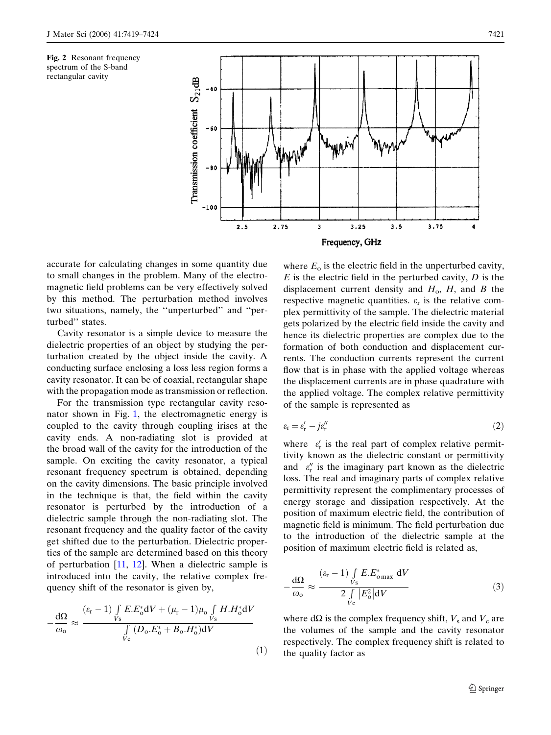<span id="page-2-0"></span>



accurate for calculating changes in some quantity due to small changes in the problem. Many of the electromagnetic field problems can be very effectively solved by this method. The perturbation method involves two situations, namely, the ''unperturbed'' and ''perturbed'' states.

Cavity resonator is a simple device to measure the dielectric properties of an object by studying the perturbation created by the object inside the cavity. A conducting surface enclosing a loss less region forms a cavity resonator. It can be of coaxial, rectangular shape with the propagation mode as transmission or reflection.

For the transmission type rectangular cavity resonator shown in Fig. [1](#page-1-0), the electromagnetic energy is coupled to the cavity through coupling irises at the cavity ends. A non-radiating slot is provided at the broad wall of the cavity for the introduction of the sample. On exciting the cavity resonator, a typical resonant frequency spectrum is obtained, depending on the cavity dimensions. The basic principle involved in the technique is that, the field within the cavity resonator is perturbed by the introduction of a dielectric sample through the non-radiating slot. The resonant frequency and the quality factor of the cavity get shifted due to the perturbation. Dielectric properties of the sample are determined based on this theory of perturbation  $[11, 12]$  $[11, 12]$  $[11, 12]$  $[11, 12]$ . When a dielectric sample is introduced into the cavity, the relative complex frequency shift of the resonator is given by,

$$
-\frac{d\Omega}{\omega_o} \approx \frac{(\varepsilon_r - 1) \int\limits_{V_S} E.E_o^* dV + (\mu_r - 1)\mu_o \int\limits_{V_S} H.H_o^* dV}{\int\limits_{V_C} (D_o.E_o^* + B_o.H_o^*) dV}
$$
(1)

where  $E_0$  is the electric field in the unperturbed cavity,  $E$  is the electric field in the perturbed cavity,  $D$  is the displacement current density and  $H_0$ ,  $H_1$ , and  $B$  the respective magnetic quantities.  $\varepsilon_r$  is the relative complex permittivity of the sample. The dielectric material gets polarized by the electric field inside the cavity and hence its dielectric properties are complex due to the formation of both conduction and displacement currents. The conduction currents represent the current flow that is in phase with the applied voltage whereas the displacement currents are in phase quadrature with the applied voltage. The complex relative permittivity of the sample is represented as

$$
\varepsilon_{\rm r} = \varepsilon_{\rm r}' - j\varepsilon_{\rm r}'' \tag{2}
$$

where  $\varepsilon'_{r}$  is the real part of complex relative permittivity known as the dielectric constant or permittivity and  $\varepsilon_{\rm r}''$  is the imaginary part known as the dielectric loss. The real and imaginary parts of complex relative permittivity represent the complimentary processes of energy storage and dissipation respectively. At the position of maximum electric field, the contribution of magnetic field is minimum. The field perturbation due to the introduction of the dielectric sample at the position of maximum electric field is related as,

$$
-\frac{d\Omega}{\omega_o} \approx \frac{(\varepsilon_r - 1) \int\limits_{V_S} E.E_{\text{omax}}^* dV}{2 \int\limits_{V_C} |E_o^2| dV}
$$
(3)

where  $d\Omega$  is the complex frequency shift,  $V_s$  and  $V_c$  are the volumes of the sample and the cavity resonator respectively. The complex frequency shift is related to the quality factor as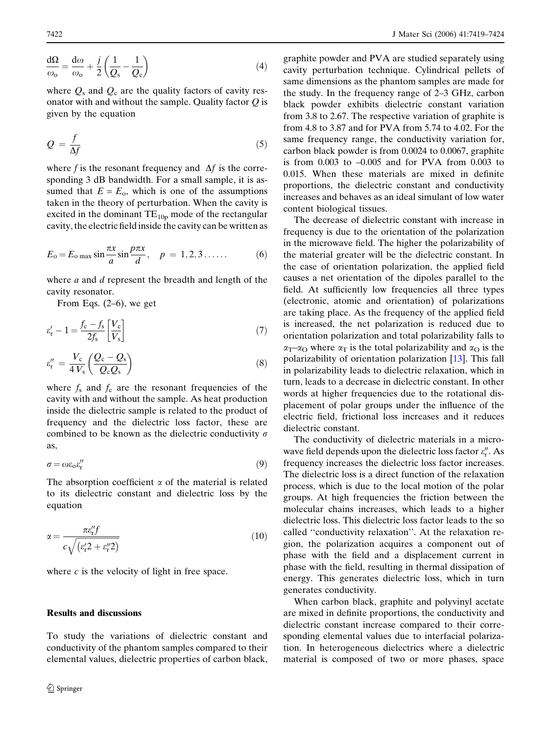$$
\frac{d\Omega}{\omega_0} = \frac{d\omega}{\omega_0} + \frac{j}{2} \left( \frac{1}{Q_s} - \frac{1}{Q_c} \right)
$$
(4)

where  $Q_s$  and  $Q_c$  are the quality factors of cavity resonator with and without the sample. Quality factor  $Q$  is given by the equation

$$
Q = \frac{f}{\Delta f} \tag{5}
$$

where f is the resonant frequency and  $\Delta f$  is the corresponding 3 dB bandwidth. For a small sample, it is assumed that  $E = E_0$ , which is one of the assumptions taken in the theory of perturbation. When the cavity is excited in the dominant  $TE_{10p}$  mode of the rectangular cavity, the electric field inside the cavity can be written as

$$
E_{\rm o} = E_{\rm o \, max} \sin \frac{\pi x}{a} \sin \frac{p \pi x}{d}, \quad p = 1, 2, 3 \dots \dots \tag{6}
$$

where  $a$  and  $d$  represent the breadth and length of the cavity resonator.

From Eqs. (2–6), we get

$$
\varepsilon_{\rm r}' - 1 = \frac{f_{\rm c} - f_{\rm s}}{2f_{\rm s}} \left[ \frac{V_{\rm c}}{V_{\rm s}} \right] \tag{7}
$$

$$
\varepsilon_{\rm r}'' = \frac{V_{\rm c}}{4 V_{\rm s}} \left( \frac{Q_{\rm c} - Q_{\rm s}}{Q_{\rm c} Q_{\rm s}} \right) \tag{8}
$$

where  $f_s$  and  $f_c$  are the resonant frequencies of the cavity with and without the sample. As heat production inside the dielectric sample is related to the product of frequency and the dielectric loss factor, these are combined to be known as the dielectric conductivity  $\sigma$ as,

$$
\sigma = \omega \varepsilon_{0} \varepsilon_{r}'' \tag{9}
$$

The absorption coefficient  $\alpha$  of the material is related to its dielectric constant and dielectric loss by the equation

$$
\alpha = \frac{\pi \varepsilon_{\rm r}^{\prime\prime} f}{c\sqrt{\left(\varepsilon_{\rm r}^{\prime} 2 + \varepsilon_{\rm r}^{\prime\prime} 2\right)}}\tag{10}
$$

where  $c$  is the velocity of light in free space.

## Results and discussions

To study the variations of dielectric constant and conductivity of the phantom samples compared to their elemental values, dielectric properties of carbon black, graphite powder and PVA are studied separately using cavity perturbation technique. Cylindrical pellets of same dimensions as the phantom samples are made for the study. In the frequency range of 2–3 GHz, carbon black powder exhibits dielectric constant variation from 3.8 to 2.67. The respective variation of graphite is from 4.8 to 3.87 and for PVA from 5.74 to 4.02. For the same frequency range, the conductivity variation for, carbon black powder is from 0.0024 to 0.0067, graphite is from  $0.003$  to  $-0.005$  and for PVA from  $0.003$  to 0.015. When these materials are mixed in definite proportions, the dielectric constant and conductivity increases and behaves as an ideal simulant of low water content biological tissues.

The decrease of dielectric constant with increase in frequency is due to the orientation of the polarization in the microwave field. The higher the polarizability of the material greater will be the dielectric constant. In the case of orientation polarization, the applied field causes a net orientation of the dipoles parallel to the field. At sufficiently low frequencies all three types (electronic, atomic and orientation) of polarizations are taking place. As the frequency of the applied field is increased, the net polarization is reduced due to orientation polarization and total polarizability falls to  $\alpha_{\text{T}}$ – $\alpha_{\text{O}}$  where  $\alpha_{\text{T}}$  is the total polarizability and  $\alpha_{\text{O}}$  is the polarizability of orientation polarization [\[13](#page-5-0)]. This fall in polarizability leads to dielectric relaxation, which in turn, leads to a decrease in dielectric constant. In other words at higher frequencies due to the rotational displacement of polar groups under the influence of the electric field, frictional loss increases and it reduces dielectric constant.

The conductivity of dielectric materials in a microwave field depends upon the dielectric loss factor  $\varepsilon_{\rm r}^{\prime\prime}$ . As frequency increases the dielectric loss factor increases. The dielectric loss is a direct function of the relaxation process, which is due to the local motion of the polar groups. At high frequencies the friction between the molecular chains increases, which leads to a higher dielectric loss. This dielectric loss factor leads to the so called ''conductivity relaxation''. At the relaxation region, the polarization acquires a component out of phase with the field and a displacement current in phase with the field, resulting in thermal dissipation of energy. This generates dielectric loss, which in turn generates conductivity.

When carbon black, graphite and polyvinyl acetate are mixed in definite proportions, the conductivity and dielectric constant increase compared to their corresponding elemental values due to interfacial polarization. In heterogeneous dielectrics where a dielectric material is composed of two or more phases, space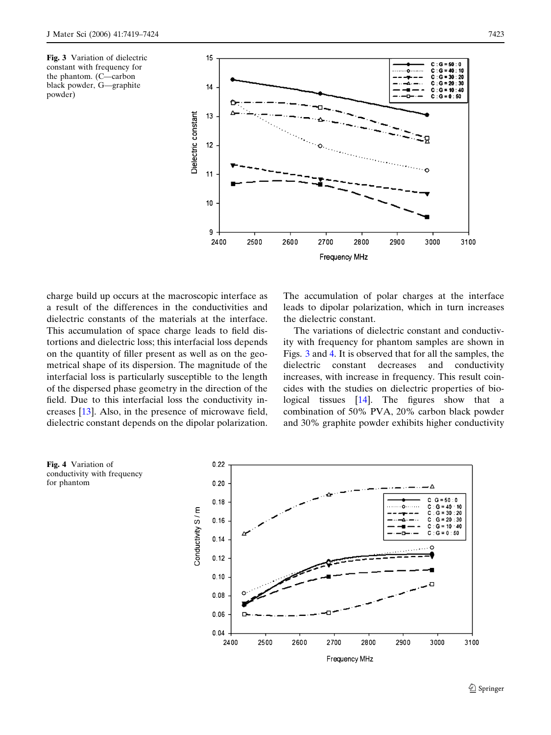Fig. 3 Variation of dielectric constant with frequency for the phantom. (C—carbon black powder, G—graphite powder)



charge build up occurs at the macroscopic interface as a result of the differences in the conductivities and dielectric constants of the materials at the interface. This accumulation of space charge leads to field distortions and dielectric loss; this interfacial loss depends on the quantity of filler present as well as on the geometrical shape of its dispersion. The magnitude of the interfacial loss is particularly susceptible to the length of the dispersed phase geometry in the direction of the field. Due to this interfacial loss the conductivity increases [\[13](#page-5-0)]. Also, in the presence of microwave field, dielectric constant depends on the dipolar polarization.

The accumulation of polar charges at the interface leads to dipolar polarization, which in turn increases the dielectric constant.

The variations of dielectric constant and conductivity with frequency for phantom samples are shown in Figs. 3 and 4. It is observed that for all the samples, the dielectric constant decreases and conductivity increases, with increase in frequency. This result coincides with the studies on dielectric properties of biological tissues [\[14](#page-5-0)]. The figures show that a combination of 50% PVA, 20% carbon black powder and 30% graphite powder exhibits higher conductivity